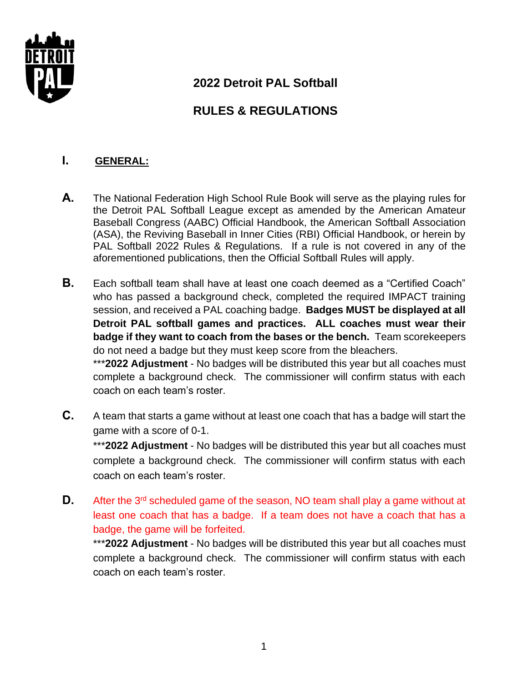

# **2022 Detroit PAL Softball**

# **RULES & REGULATIONS**

### **I. GENERAL:**

- **A.** The National Federation High School Rule Book will serve as the playing rules for the Detroit PAL Softball League except as amended by the American Amateur Baseball Congress (AABC) Official Handbook, the American Softball Association (ASA), the Reviving Baseball in Inner Cities (RBI) Official Handbook, or herein by PAL Softball 2022 Rules & Regulations. If a rule is not covered in any of the aforementioned publications, then the Official Softball Rules will apply.
- **B.** Each softball team shall have at least one coach deemed as a "Certified Coach" who has passed a background check, completed the required IMPACT training session, and received a PAL coaching badge. **Badges MUST be displayed at all Detroit PAL softball games and practices. ALL coaches must wear their badge if they want to coach from the bases or the bench.** Team scorekeepers do not need a badge but they must keep score from the bleachers.

\*\*\***2022 Adjustment** - No badges will be distributed this year but all coaches must complete a background check. The commissioner will confirm status with each coach on each team's roster.

**C.** A team that starts a game without at least one coach that has a badge will start the game with a score of 0-1.

\*\*\***2022 Adjustment** - No badges will be distributed this year but all coaches must complete a background check. The commissioner will confirm status with each coach on each team's roster.

**D.** After the 3<sup>rd</sup> scheduled game of the season, NO team shall play a game without at least one coach that has a badge. If a team does not have a coach that has a badge, the game will be forfeited.

\*\*\***2022 Adjustment** - No badges will be distributed this year but all coaches must complete a background check. The commissioner will confirm status with each coach on each team's roster.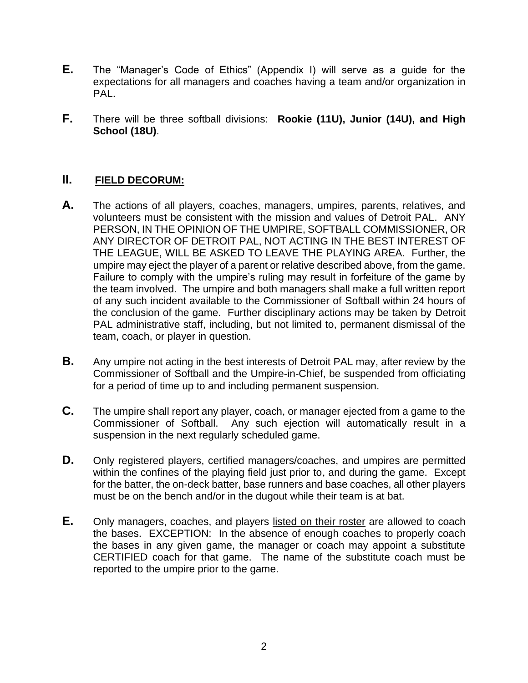- **E.** The "Manager's Code of Ethics" (Appendix I) will serve as a guide for the expectations for all managers and coaches having a team and/or organization in PAL.
- **F.** There will be three softball divisions: **Rookie (11U), Junior (14U), and High School (18U)**.

#### **II. FIELD DECORUM:**

- **A.** The actions of all players, coaches, managers, umpires, parents, relatives, and volunteers must be consistent with the mission and values of Detroit PAL. ANY PERSON, IN THE OPINION OF THE UMPIRE, SOFTBALL COMMISSIONER, OR ANY DIRECTOR OF DETROIT PAL, NOT ACTING IN THE BEST INTEREST OF THE LEAGUE, WILL BE ASKED TO LEAVE THE PLAYING AREA. Further, the umpire may eject the player of a parent or relative described above, from the game. Failure to comply with the umpire's ruling may result in forfeiture of the game by the team involved. The umpire and both managers shall make a full written report of any such incident available to the Commissioner of Softball within 24 hours of the conclusion of the game. Further disciplinary actions may be taken by Detroit PAL administrative staff, including, but not limited to, permanent dismissal of the team, coach, or player in question.
- **B.** Any umpire not acting in the best interests of Detroit PAL may, after review by the Commissioner of Softball and the Umpire-in-Chief, be suspended from officiating for a period of time up to and including permanent suspension.
- **C.** The umpire shall report any player, coach, or manager ejected from a game to the Commissioner of Softball. Any such ejection will automatically result in a suspension in the next regularly scheduled game.
- **D.** Only registered players, certified managers/coaches, and umpires are permitted within the confines of the playing field just prior to, and during the game. Except for the batter, the on-deck batter, base runners and base coaches, all other players must be on the bench and/or in the dugout while their team is at bat.
- **E.** Only managers, coaches, and players listed on their roster are allowed to coach the bases. EXCEPTION: In the absence of enough coaches to properly coach the bases in any given game, the manager or coach may appoint a substitute CERTIFIED coach for that game. The name of the substitute coach must be reported to the umpire prior to the game.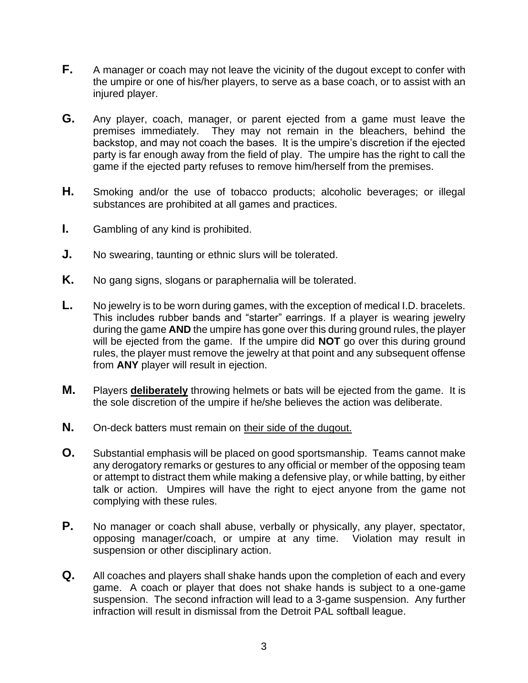- **F.** A manager or coach may not leave the vicinity of the dugout except to confer with the umpire or one of his/her players, to serve as a base coach, or to assist with an injured player.
- **G.** Any player, coach, manager, or parent ejected from a game must leave the premises immediately. They may not remain in the bleachers, behind the backstop, and may not coach the bases. It is the umpire's discretion if the ejected party is far enough away from the field of play. The umpire has the right to call the game if the ejected party refuses to remove him/herself from the premises.
- **H.** Smoking and/or the use of tobacco products; alcoholic beverages; or illegal substances are prohibited at all games and practices.
- **I.** Gambling of any kind is prohibited.
- **J.** No swearing, taunting or ethnic slurs will be tolerated.
- **K.** No gang signs, slogans or paraphernalia will be tolerated.
- **L.** No jewelry is to be worn during games, with the exception of medical I.D. bracelets. This includes rubber bands and "starter" earrings. If a player is wearing jewelry during the game **AND** the umpire has gone over this during ground rules, the player will be ejected from the game. If the umpire did **NOT** go over this during ground rules, the player must remove the jewelry at that point and any subsequent offense from **ANY** player will result in ejection.
- **M.** Players **deliberately** throwing helmets or bats will be ejected from the game. It is the sole discretion of the umpire if he/she believes the action was deliberate.
- **N.** On-deck batters must remain on their side of the dugout.
- **O.** Substantial emphasis will be placed on good sportsmanship. Teams cannot make any derogatory remarks or gestures to any official or member of the opposing team or attempt to distract them while making a defensive play, or while batting, by either talk or action. Umpires will have the right to eject anyone from the game not complying with these rules.
- **P.** No manager or coach shall abuse, verbally or physically, any player, spectator, opposing manager/coach, or umpire at any time. Violation may result in suspension or other disciplinary action.
- **Q.** All coaches and players shall shake hands upon the completion of each and every game. A coach or player that does not shake hands is subject to a one-game suspension. The second infraction will lead to a 3-game suspension. Any further infraction will result in dismissal from the Detroit PAL softball league.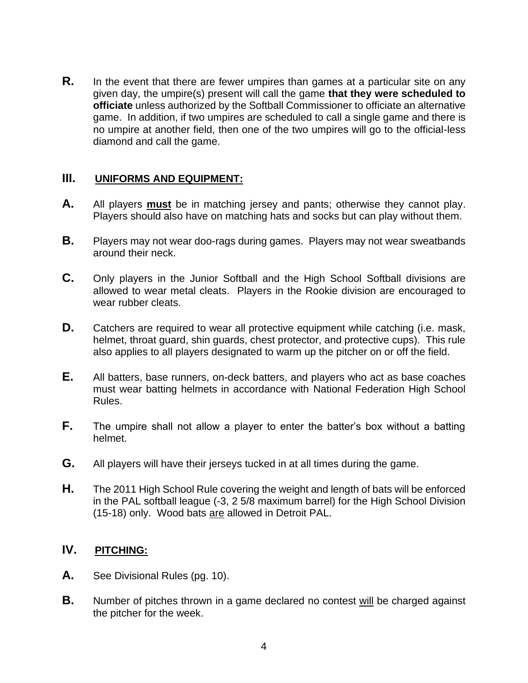**R.** In the event that there are fewer umpires than games at a particular site on any given day, the umpire(s) present will call the game **that they were scheduled to officiate** unless authorized by the Softball Commissioner to officiate an alternative game. In addition, if two umpires are scheduled to call a single game and there is no umpire at another field, then one of the two umpires will go to the official-less diamond and call the game.

#### **III. UNIFORMS AND EQUIPMENT:**

- **A.** All players **must** be in matching jersey and pants; otherwise they cannot play. Players should also have on matching hats and socks but can play without them.
- **B.** Players may not wear doo-rags during games. Players may not wear sweatbands around their neck.
- **C.** Only players in the Junior Softball and the High School Softball divisions are allowed to wear metal cleats. Players in the Rookie division are encouraged to wear rubber cleats.
- **D.** Catchers are required to wear all protective equipment while catching (i.e. mask, helmet, throat guard, shin guards, chest protector, and protective cups). This rule also applies to all players designated to warm up the pitcher on or off the field.
- **E.** All batters, base runners, on-deck batters, and players who act as base coaches must wear batting helmets in accordance with National Federation High School Rules.
- **F.** The umpire shall not allow a player to enter the batter's box without a batting helmet.
- **G.** All players will have their jerseys tucked in at all times during the game.
- **H.** The 2011 High School Rule covering the weight and length of bats will be enforced in the PAL softball league (-3, 2 5/8 maximum barrel) for the High School Division (15-18) only. Wood bats are allowed in Detroit PAL.

## **IV. PITCHING:**

- **A.** See Divisional Rules (pg. 10).
- **B.** Number of pitches thrown in a game declared no contest will be charged against the pitcher for the week.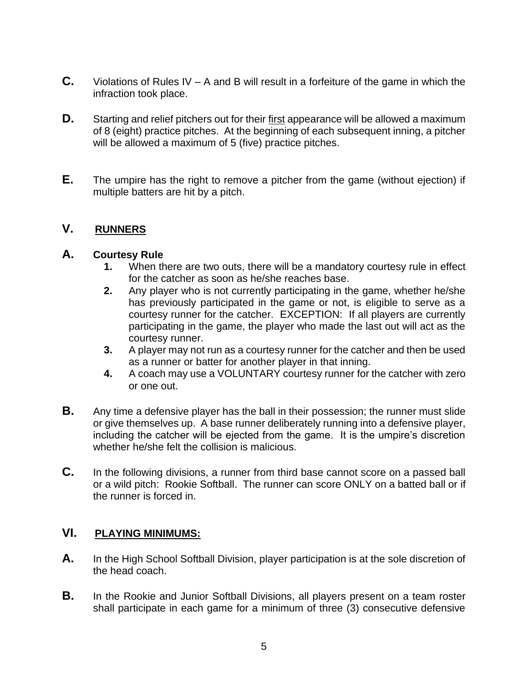- **C.** Violations of Rules IV A and B will result in a forfeiture of the game in which the infraction took place.
- **D.** Starting and relief pitchers out for their first appearance will be allowed a maximum of 8 (eight) practice pitches. At the beginning of each subsequent inning, a pitcher will be allowed a maximum of 5 (five) practice pitches.
- **E.** The umpire has the right to remove a pitcher from the game (without ejection) if multiple batters are hit by a pitch.

#### **V. RUNNERS**

#### **A. Courtesy Rule**

- **1.** When there are two outs, there will be a mandatory courtesy rule in effect for the catcher as soon as he/she reaches base.
- **2.** Any player who is not currently participating in the game, whether he/she has previously participated in the game or not, is eligible to serve as a courtesy runner for the catcher. EXCEPTION: If all players are currently participating in the game, the player who made the last out will act as the courtesy runner.
- **3.** A player may not run as a courtesy runner for the catcher and then be used as a runner or batter for another player in that inning.
- **4.** A coach may use a VOLUNTARY courtesy runner for the catcher with zero or one out.
- **B.** Any time a defensive player has the ball in their possession; the runner must slide or give themselves up. A base runner deliberately running into a defensive player, including the catcher will be ejected from the game. It is the umpire's discretion whether he/she felt the collision is malicious.
- **C.** In the following divisions, a runner from third base cannot score on a passed ball or a wild pitch: Rookie Softball. The runner can score ONLY on a batted ball or if the runner is forced in.

#### **VI. PLAYING MINIMUMS:**

- **A.** In the High School Softball Division, player participation is at the sole discretion of the head coach.
- **B.** In the Rookie and Junior Softball Divisions, all players present on a team roster shall participate in each game for a minimum of three (3) consecutive defensive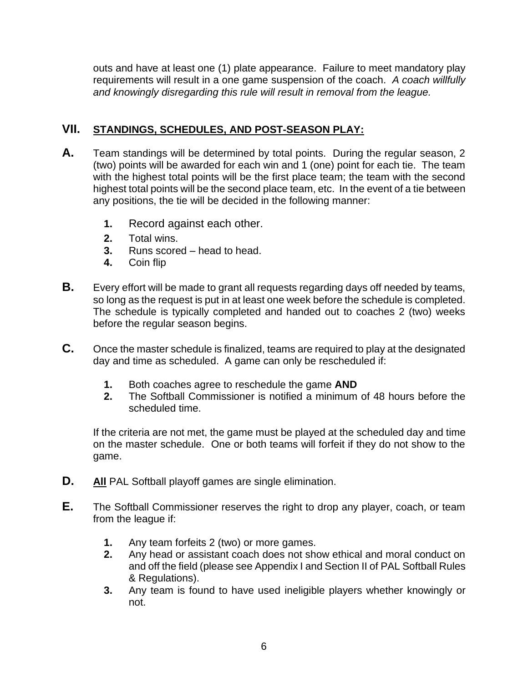outs and have at least one (1) plate appearance. Failure to meet mandatory play requirements will result in a one game suspension of the coach. *A coach willfully and knowingly disregarding this rule will result in removal from the league.*

## **VII. STANDINGS, SCHEDULES, AND POST-SEASON PLAY:**

- **A.** Team standings will be determined by total points. During the regular season, 2 (two) points will be awarded for each win and 1 (one) point for each tie. The team with the highest total points will be the first place team; the team with the second highest total points will be the second place team, etc. In the event of a tie between any positions, the tie will be decided in the following manner:
	- **1.** Record against each other.
	- **2.** Total wins.
	- **3.** Runs scored head to head.
	- **4.** Coin flip
- **B.** Every effort will be made to grant all requests regarding days off needed by teams, so long as the request is put in at least one week before the schedule is completed. The schedule is typically completed and handed out to coaches 2 (two) weeks before the regular season begins.
- **C.** Once the master schedule is finalized, teams are required to play at the designated day and time as scheduled. A game can only be rescheduled if:
	- **1.** Both coaches agree to reschedule the game **AND**
	- **2.** The Softball Commissioner is notified a minimum of 48 hours before the scheduled time.

If the criteria are not met, the game must be played at the scheduled day and time on the master schedule. One or both teams will forfeit if they do not show to the game.

- **D. All** PAL Softball playoff games are single elimination.
- **E.** The Softball Commissioner reserves the right to drop any player, coach, or team from the league if:
	- **1.** Any team forfeits 2 (two) or more games.
	- **2.** Any head or assistant coach does not show ethical and moral conduct on and off the field (please see Appendix I and Section II of PAL Softball Rules & Regulations).
	- **3.** Any team is found to have used ineligible players whether knowingly or not.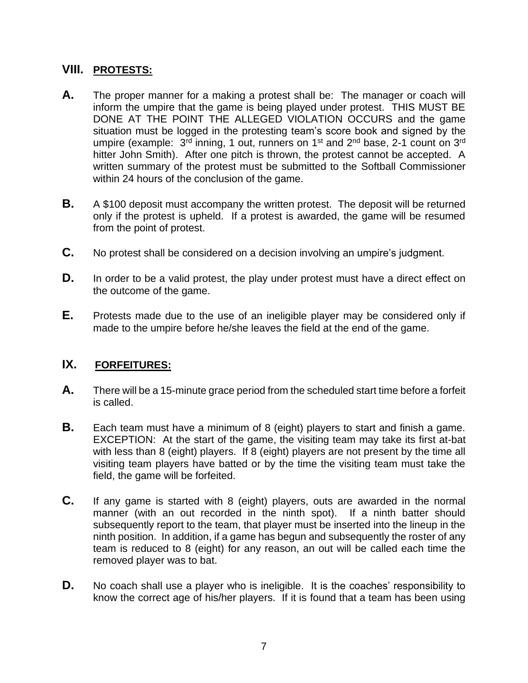### **VIII. PROTESTS:**

- **A.** The proper manner for a making a protest shall be: The manager or coach will inform the umpire that the game is being played under protest. THIS MUST BE DONE AT THE POINT THE ALLEGED VIOLATION OCCURS and the game situation must be logged in the protesting team's score book and signed by the umpire (example:  $3<sup>rd</sup>$  inning, 1 out, runners on 1<sup>st</sup> and 2<sup>nd</sup> base, 2-1 count on 3<sup>rd</sup> hitter John Smith). After one pitch is thrown, the protest cannot be accepted. A written summary of the protest must be submitted to the Softball Commissioner within 24 hours of the conclusion of the game.
- **B.** A \$100 deposit must accompany the written protest. The deposit will be returned only if the protest is upheld. If a protest is awarded, the game will be resumed from the point of protest.
- **C.** No protest shall be considered on a decision involving an umpire's judgment.
- **D.** In order to be a valid protest, the play under protest must have a direct effect on the outcome of the game.
- **E.** Protests made due to the use of an ineligible player may be considered only if made to the umpire before he/she leaves the field at the end of the game.

### **IX. FORFEITURES:**

- **A.** There will be a 15-minute grace period from the scheduled start time before a forfeit is called.
- **B.** Each team must have a minimum of 8 (eight) players to start and finish a game. EXCEPTION: At the start of the game, the visiting team may take its first at-bat with less than 8 (eight) players. If 8 (eight) players are not present by the time all visiting team players have batted or by the time the visiting team must take the field, the game will be forfeited.
- **C.** If any game is started with 8 (eight) players, outs are awarded in the normal manner (with an out recorded in the ninth spot). If a ninth batter should subsequently report to the team, that player must be inserted into the lineup in the ninth position. In addition, if a game has begun and subsequently the roster of any team is reduced to 8 (eight) for any reason, an out will be called each time the removed player was to bat.
- **D.** No coach shall use a player who is ineligible. It is the coaches' responsibility to know the correct age of his/her players. If it is found that a team has been using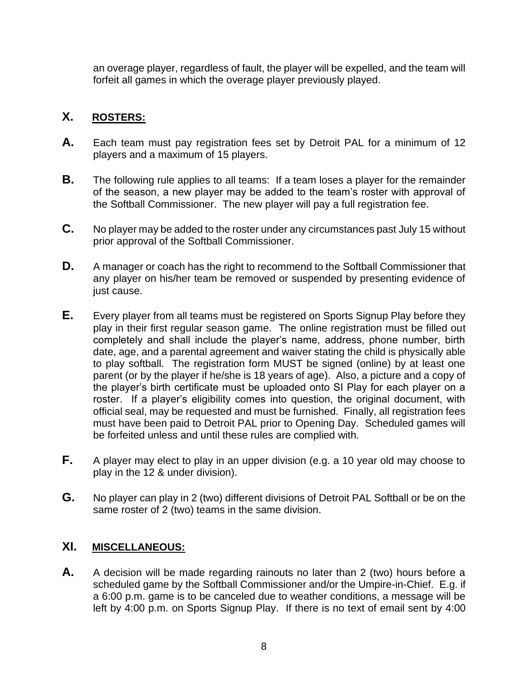an overage player, regardless of fault, the player will be expelled, and the team will forfeit all games in which the overage player previously played.

# **X. ROSTERS:**

- **A.** Each team must pay registration fees set by Detroit PAL for a minimum of 12 players and a maximum of 15 players.
- **B.** The following rule applies to all teams: If a team loses a player for the remainder of the season, a new player may be added to the team's roster with approval of the Softball Commissioner. The new player will pay a full registration fee.
- **C.** No player may be added to the roster under any circumstances past July 15 without prior approval of the Softball Commissioner.
- **D.** A manager or coach has the right to recommend to the Softball Commissioner that any player on his/her team be removed or suspended by presenting evidence of just cause.
- **E.** Every player from all teams must be registered on Sports Signup Play before they play in their first regular season game. The online registration must be filled out completely and shall include the player's name, address, phone number, birth date, age, and a parental agreement and waiver stating the child is physically able to play softball. The registration form MUST be signed (online) by at least one parent (or by the player if he/she is 18 years of age). Also, a picture and a copy of the player's birth certificate must be uploaded onto SI Play for each player on a roster. If a player's eligibility comes into question, the original document, with official seal, may be requested and must be furnished. Finally, all registration fees must have been paid to Detroit PAL prior to Opening Day. Scheduled games will be forfeited unless and until these rules are complied with.
- **F.** A player may elect to play in an upper division (e.g. a 10 year old may choose to play in the 12 & under division).
- **G.** No player can play in 2 (two) different divisions of Detroit PAL Softball or be on the same roster of 2 (two) teams in the same division.

### **XI. MISCELLANEOUS:**

**A.** A decision will be made regarding rainouts no later than 2 (two) hours before a scheduled game by the Softball Commissioner and/or the Umpire-in-Chief. E.g. if a 6:00 p.m. game is to be canceled due to weather conditions, a message will be left by 4:00 p.m. on Sports Signup Play. If there is no text of email sent by 4:00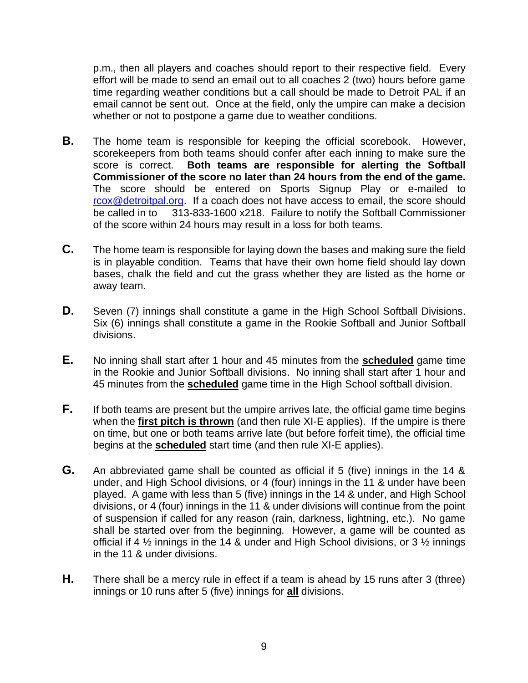p.m., then all players and coaches should report to their respective field. Every effort will be made to send an email out to all coaches 2 (two) hours before game time regarding weather conditions but a call should be made to Detroit PAL if an email cannot be sent out. Once at the field, only the umpire can make a decision whether or not to postpone a game due to weather conditions.

- **B.** The home team is responsible for keeping the official scorebook. However, scorekeepers from both teams should confer after each inning to make sure the score is correct. **Both teams are responsible for alerting the Softball Commissioner of the score no later than 24 hours from the end of the game.** The score should be entered on Sports Signup Play or e-mailed to [rcox@detroitpal.org.](mailto:rcox@detroitpal.org) If a coach does not have access to email, the score should be called in to 313-833-1600 x218. Failure to notify the Softball Commissioner of the score within 24 hours may result in a loss for both teams.
- **C.** The home team is responsible for laying down the bases and making sure the field is in playable condition. Teams that have their own home field should lay down bases, chalk the field and cut the grass whether they are listed as the home or away team.
- **D.** Seven (7) innings shall constitute a game in the High School Softball Divisions. Six (6) innings shall constitute a game in the Rookie Softball and Junior Softball divisions.
- **E.** No inning shall start after 1 hour and 45 minutes from the **scheduled** game time in the Rookie and Junior Softball divisions. No inning shall start after 1 hour and 45 minutes from the **scheduled** game time in the High School softball division.
- **F.** If both teams are present but the umpire arrives late, the official game time begins when the **first pitch is thrown** (and then rule XI-E applies). If the umpire is there on time, but one or both teams arrive late (but before forfeit time), the official time begins at the **scheduled** start time (and then rule XI-E applies).
- **G.** An abbreviated game shall be counted as official if 5 (five) innings in the 14 & under, and High School divisions, or 4 (four) innings in the 11 & under have been played. A game with less than 5 (five) innings in the 14 & under, and High School divisions, or 4 (four) innings in the 11 & under divisions will continue from the point of suspension if called for any reason (rain, darkness, lightning, etc.). No game shall be started over from the beginning. However, a game will be counted as official if 4 ½ innings in the 14 & under and High School divisions, or 3 ½ innings in the 11 & under divisions.
- **H.** There shall be a mercy rule in effect if a team is ahead by 15 runs after 3 (three) innings or 10 runs after 5 (five) innings for **all** divisions.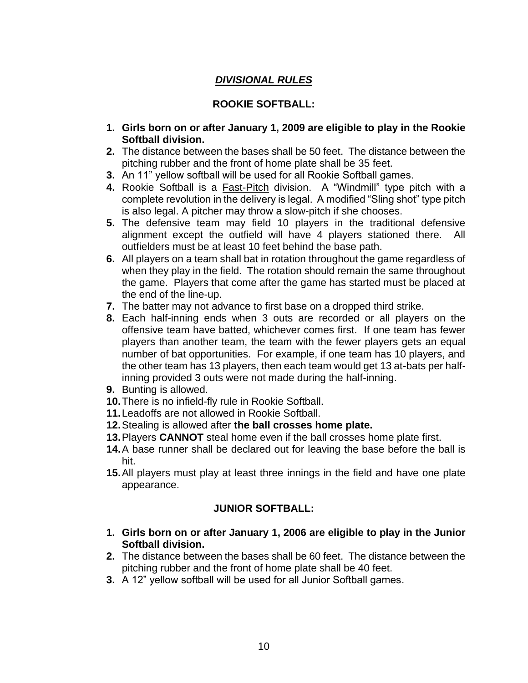# *DIVISIONAL RULES*

#### **ROOKIE SOFTBALL:**

- **1. Girls born on or after January 1, 2009 are eligible to play in the Rookie Softball division.**
- **2.** The distance between the bases shall be 50 feet. The distance between the pitching rubber and the front of home plate shall be 35 feet.
- **3.** An 11" yellow softball will be used for all Rookie Softball games.
- **4.** Rookie Softball is a Fast-Pitch division. A "Windmill" type pitch with a complete revolution in the delivery is legal. A modified "Sling shot" type pitch is also legal. A pitcher may throw a slow-pitch if she chooses.
- **5.** The defensive team may field 10 players in the traditional defensive alignment except the outfield will have 4 players stationed there. All outfielders must be at least 10 feet behind the base path.
- **6.** All players on a team shall bat in rotation throughout the game regardless of when they play in the field. The rotation should remain the same throughout the game. Players that come after the game has started must be placed at the end of the line-up.
- **7.** The batter may not advance to first base on a dropped third strike.
- **8.** Each half-inning ends when 3 outs are recorded or all players on the offensive team have batted, whichever comes first. If one team has fewer players than another team, the team with the fewer players gets an equal number of bat opportunities. For example, if one team has 10 players, and the other team has 13 players, then each team would get 13 at-bats per halfinning provided 3 outs were not made during the half-inning.
- **9.** Bunting is allowed.
- **10.**There is no infield-fly rule in Rookie Softball.
- **11.**Leadoffs are not allowed in Rookie Softball.
- **12.**Stealing is allowed after **the ball crosses home plate.**
- **13.**Players **CANNOT** steal home even if the ball crosses home plate first.
- **14.**A base runner shall be declared out for leaving the base before the ball is hit.
- **15.**All players must play at least three innings in the field and have one plate appearance.

#### **JUNIOR SOFTBALL:**

- **1. Girls born on or after January 1, 2006 are eligible to play in the Junior Softball division.**
- **2.** The distance between the bases shall be 60 feet. The distance between the pitching rubber and the front of home plate shall be 40 feet.
- **3.** A 12" yellow softball will be used for all Junior Softball games.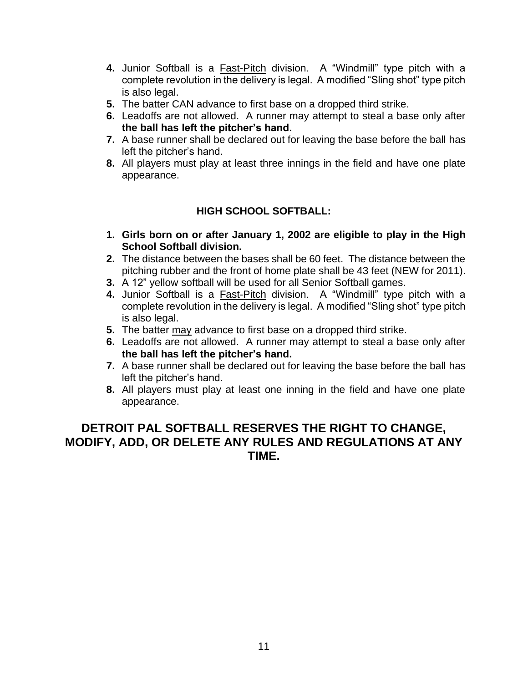- **4.** Junior Softball is a Fast-Pitch division. A "Windmill" type pitch with a complete revolution in the delivery is legal. A modified "Sling shot" type pitch is also legal.
- **5.** The batter CAN advance to first base on a dropped third strike.
- **6.** Leadoffs are not allowed. A runner may attempt to steal a base only after **the ball has left the pitcher's hand.**
- **7.** A base runner shall be declared out for leaving the base before the ball has left the pitcher's hand.
- **8.** All players must play at least three innings in the field and have one plate appearance.

### **HIGH SCHOOL SOFTBALL:**

- **1. Girls born on or after January 1, 2002 are eligible to play in the High School Softball division.**
- **2.** The distance between the bases shall be 60 feet. The distance between the pitching rubber and the front of home plate shall be 43 feet (NEW for 2011).
- **3.** A 12" yellow softball will be used for all Senior Softball games.
- **4.** Junior Softball is a Fast-Pitch division. A "Windmill" type pitch with a complete revolution in the delivery is legal. A modified "Sling shot" type pitch is also legal.
- **5.** The batter may advance to first base on a dropped third strike.
- **6.** Leadoffs are not allowed. A runner may attempt to steal a base only after **the ball has left the pitcher's hand.**
- **7.** A base runner shall be declared out for leaving the base before the ball has left the pitcher's hand.
- **8.** All players must play at least one inning in the field and have one plate appearance.

# **DETROIT PAL SOFTBALL RESERVES THE RIGHT TO CHANGE, MODIFY, ADD, OR DELETE ANY RULES AND REGULATIONS AT ANY TIME.**